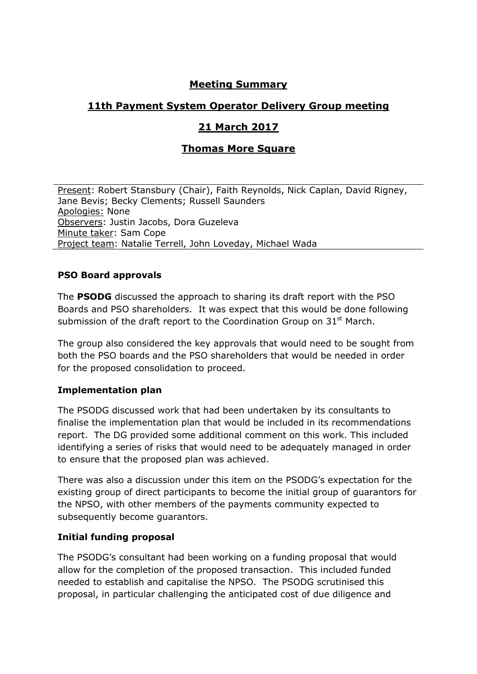# **Meeting Summary**

## **11th Payment System Operator Delivery Group meeting**

## **21 March 2017**

# **Thomas More Square**

Present: Robert Stansbury (Chair), Faith Reynolds, Nick Caplan, David Rigney, Jane Bevis; Becky Clements; Russell Saunders Apologies: None Observers: Justin Jacobs, Dora Guzeleva Minute taker: Sam Cope Project team: Natalie Terrell, John Loveday, Michael Wada

## **PSO Board approvals**

The **PSODG** discussed the approach to sharing its draft report with the PSO Boards and PSO shareholders. It was expect that this would be done following submission of the draft report to the Coordination Group on  $31<sup>st</sup>$  March.

The group also considered the key approvals that would need to be sought from both the PSO boards and the PSO shareholders that would be needed in order for the proposed consolidation to proceed.

#### **Implementation plan**

The PSODG discussed work that had been undertaken by its consultants to finalise the implementation plan that would be included in its recommendations report. The DG provided some additional comment on this work. This included identifying a series of risks that would need to be adequately managed in order to ensure that the proposed plan was achieved.

There was also a discussion under this item on the PSODG's expectation for the existing group of direct participants to become the initial group of guarantors for the NPSO, with other members of the payments community expected to subsequently become guarantors.

#### **Initial funding proposal**

The PSODG's consultant had been working on a funding proposal that would allow for the completion of the proposed transaction. This included funded needed to establish and capitalise the NPSO. The PSODG scrutinised this proposal, in particular challenging the anticipated cost of due diligence and